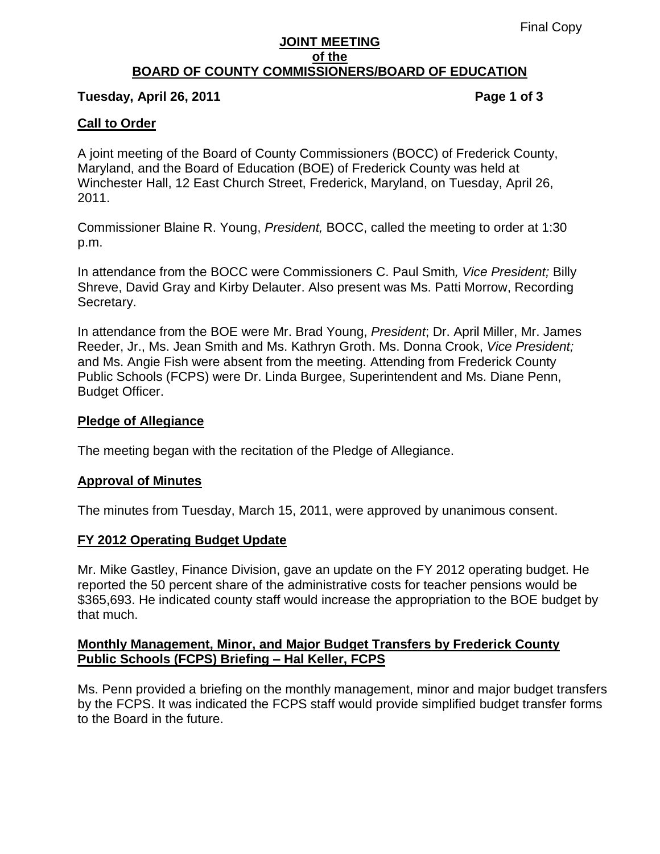#### **JOINT MEETING of the BOARD OF COUNTY COMMISSIONERS/BOARD OF EDUCATION**

#### **Tuesday, April 26, 2011 Page 1 of 3**

## **Call to Order**

A joint meeting of the Board of County Commissioners (BOCC) of Frederick County, Maryland, and the Board of Education (BOE) of Frederick County was held at Winchester Hall, 12 East Church Street, Frederick, Maryland, on Tuesday, April 26, 2011.

Commissioner Blaine R. Young, *President,* BOCC, called the meeting to order at 1:30 p.m.

In attendance from the BOCC were Commissioners C. Paul Smith*, Vice President;* Billy Shreve, David Gray and Kirby Delauter. Also present was Ms. Patti Morrow, Recording Secretary.

In attendance from the BOE were Mr. Brad Young, *President*; Dr. April Miller, Mr. James Reeder, Jr., Ms. Jean Smith and Ms. Kathryn Groth. Ms. Donna Crook, *Vice President;* and Ms. Angie Fish were absent from the meeting. Attending from Frederick County Public Schools (FCPS) were Dr. Linda Burgee, Superintendent and Ms. Diane Penn, Budget Officer.

#### **Pledge of Allegiance**

The meeting began with the recitation of the Pledge of Allegiance.

### **Approval of Minutes**

The minutes from Tuesday, March 15, 2011, were approved by unanimous consent.

### **FY 2012 Operating Budget Update**

Mr. Mike Gastley, Finance Division, gave an update on the FY 2012 operating budget. He reported the 50 percent share of the administrative costs for teacher pensions would be \$365,693. He indicated county staff would increase the appropriation to the BOE budget by that much.

## **Monthly Management, Minor, and Major Budget Transfers by Frederick County Public Schools (FCPS) Briefing – Hal Keller, FCPS**

Ms. Penn provided a briefing on the monthly management, minor and major budget transfers by the FCPS. It was indicated the FCPS staff would provide simplified budget transfer forms to the Board in the future.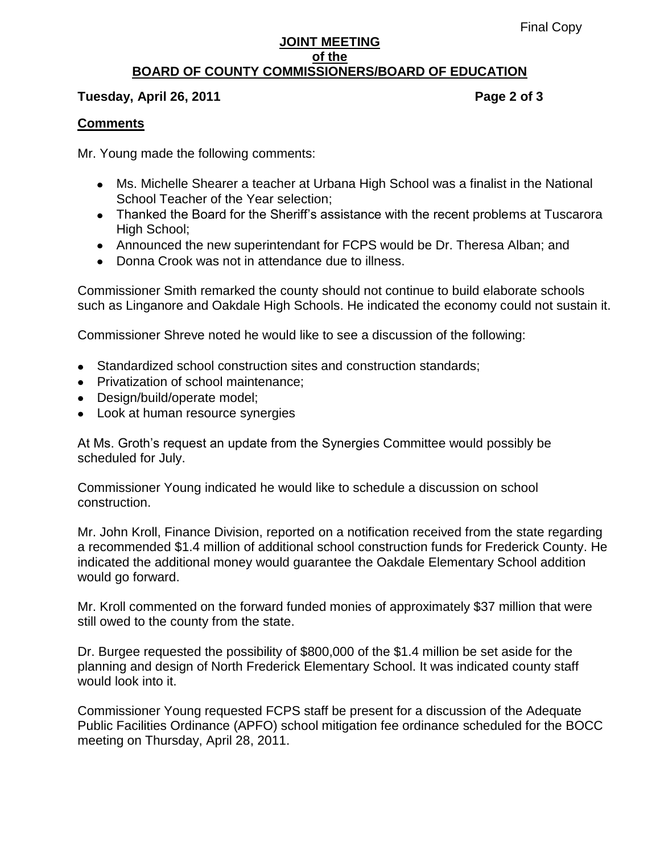#### **JOINT MEETING of the BOARD OF COUNTY COMMISSIONERS/BOARD OF EDUCATION**

### **Tuesday, April 26, 2011 Page 2 of 3**

## **Comments**

Mr. Young made the following comments:

- Ms. Michelle Shearer a teacher at Urbana High School was a finalist in the National School Teacher of the Year selection;
- Thanked the Board for the Sheriff's assistance with the recent problems at Tuscarora High School;
- Announced the new superintendant for FCPS would be Dr. Theresa Alban; and
- Donna Crook was not in attendance due to illness.

Commissioner Smith remarked the county should not continue to build elaborate schools such as Linganore and Oakdale High Schools. He indicated the economy could not sustain it.

Commissioner Shreve noted he would like to see a discussion of the following:

- Standardized school construction sites and construction standards;
- Privatization of school maintenance;
- Design/build/operate model;
- Look at human resource synergies

At Ms. Groth's request an update from the Synergies Committee would possibly be scheduled for July.

Commissioner Young indicated he would like to schedule a discussion on school construction.

Mr. John Kroll, Finance Division, reported on a notification received from the state regarding a recommended \$1.4 million of additional school construction funds for Frederick County. He indicated the additional money would guarantee the Oakdale Elementary School addition would go forward.

Mr. Kroll commented on the forward funded monies of approximately \$37 million that were still owed to the county from the state.

Dr. Burgee requested the possibility of \$800,000 of the \$1.4 million be set aside for the planning and design of North Frederick Elementary School. It was indicated county staff would look into it.

Commissioner Young requested FCPS staff be present for a discussion of the Adequate Public Facilities Ordinance (APFO) school mitigation fee ordinance scheduled for the BOCC meeting on Thursday, April 28, 2011.